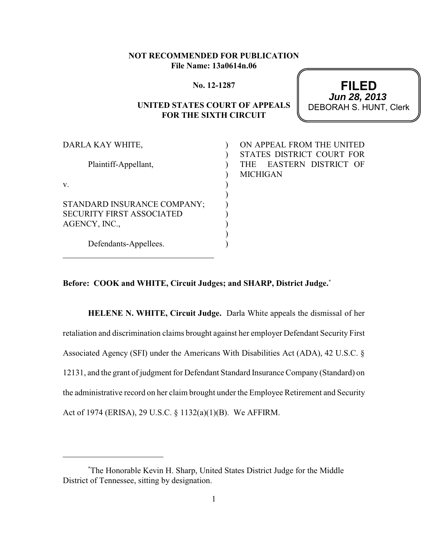## **NOT RECOMMENDED FOR PUBLICATION File Name: 13a0614n.06**

#### **No. 12-1287**

# **UNITED STATES COURT OF APPEALS FOR THE SIXTH CIRCUIT**

**FILED** DEBORAH S. HUNT, Clerk **Jun 28, 2013**

| ON APPEAL FROM THE UNITED                                      |
|----------------------------------------------------------------|
| STATES DISTRICT COURT FOR<br>EASTERN DISTRICT OF<br><b>THE</b> |
| <b>MICHIGAN</b>                                                |
|                                                                |
|                                                                |
|                                                                |
|                                                                |
|                                                                |
|                                                                |
|                                                                |
|                                                                |

**Before: COOK and WHITE, Circuit Judges; and SHARP, District Judge.\***

**HELENE N. WHITE, Circuit Judge.** Darla White appeals the dismissal of her retaliation and discrimination claims brought against her employer Defendant Security First Associated Agency (SFI) under the Americans With Disabilities Act (ADA), 42 U.S.C. § 12131, and the grant of judgment for Defendant Standard Insurance Company (Standard) on the administrative record on her claim brought under the Employee Retirement and Security Act of 1974 (ERISA), 29 U.S.C. § 1132(a)(1)(B). We AFFIRM.

The Honorable Kevin H. Sharp, United States District Judge for the Middle \* District of Tennessee, sitting by designation.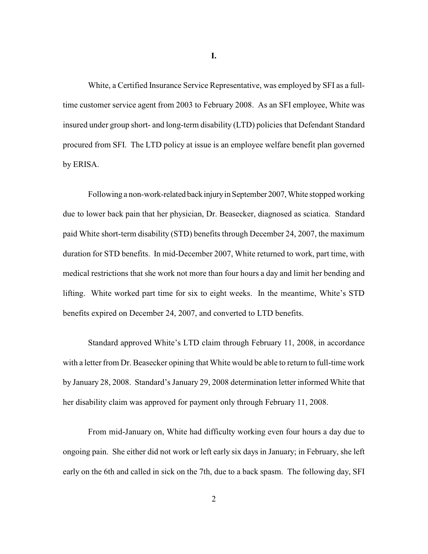White, a Certified Insurance Service Representative, was employed by SFI as a fulltime customer service agent from 2003 to February 2008. As an SFI employee, White was insured under group short- and long-term disability (LTD) policies that Defendant Standard procured from SFI. The LTD policy at issue is an employee welfare benefit plan governed by ERISA.

Following a non-work-related back injury in September 2007, White stopped working due to lower back pain that her physician, Dr. Beasecker, diagnosed as sciatica. Standard paid White short-term disability (STD) benefits through December 24, 2007, the maximum duration for STD benefits. In mid-December 2007, White returned to work, part time, with medical restrictions that she work not more than four hours a day and limit her bending and lifting. White worked part time for six to eight weeks. In the meantime, White's STD benefits expired on December 24, 2007, and converted to LTD benefits.

Standard approved White's LTD claim through February 11, 2008, in accordance with a letter from Dr. Beasecker opining that White would be able to return to full-time work by January 28, 2008. Standard's January 29, 2008 determination letter informed White that her disability claim was approved for payment only through February 11, 2008.

From mid-January on, White had difficulty working even four hours a day due to ongoing pain. She either did not work or left early six days in January; in February, she left early on the 6th and called in sick on the 7th, due to a back spasm. The following day, SFI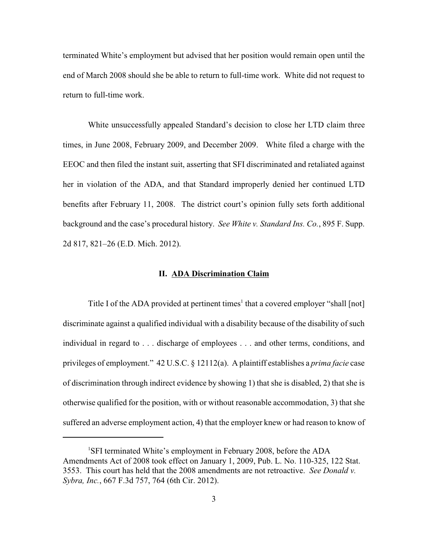terminated White's employment but advised that her position would remain open until the end of March 2008 should she be able to return to full-time work. White did not request to return to full-time work.

White unsuccessfully appealed Standard's decision to close her LTD claim three times, in June 2008, February 2009, and December 2009. White filed a charge with the EEOC and then filed the instant suit, asserting that SFI discriminated and retaliated against her in violation of the ADA, and that Standard improperly denied her continued LTD benefits after February 11, 2008. The district court's opinion fully sets forth additional background and the case's procedural history. *See White v. Standard Ins. Co.*, 895 F. Supp. 2d 817, 821–26 (E.D. Mich. 2012).

#### **II. ADA Discrimination Claim**

Title I of the ADA provided at pertinent times<sup>1</sup> that a covered employer "shall [not] discriminate against a qualified individual with a disability because of the disability of such individual in regard to . . . discharge of employees . . . and other terms, conditions, and privileges of employment." 42 U.S.C. § 12112(a). A plaintiff establishes a *prima facie* case of discrimination through indirect evidence by showing 1) that she is disabled, 2) that she is otherwise qualified for the position, with or without reasonable accommodation, 3) that she suffered an adverse employment action, 4) that the employer knew or had reason to know of

<sup>&</sup>lt;sup>1</sup>SFI terminated White's employment in February 2008, before the ADA Amendments Act of 2008 took effect on January 1, 2009, Pub. L. No. 110-325, 122 Stat. 3553. This court has held that the 2008 amendments are not retroactive. *See Donald v. Sybra, Inc.*, 667 F.3d 757, 764 (6th Cir. 2012).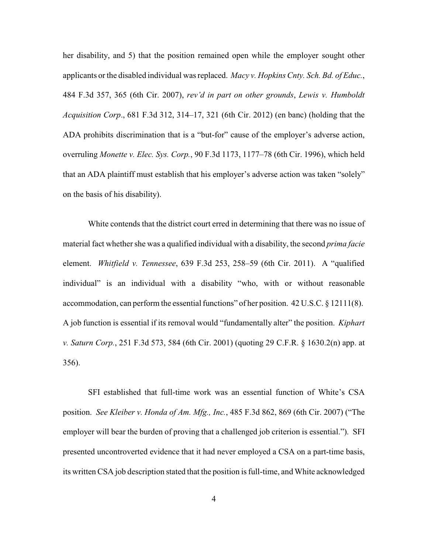her disability, and 5) that the position remained open while the employer sought other applicants or the disabled individual was replaced. *Macy v. Hopkins Cnty. Sch. Bd. of Educ.*, 484 F.3d 357, 365 (6th Cir. 2007), *rev'd in part on other grounds*, *Lewis v. Humboldt Acquisition Corp*., 681 F.3d 312, 314–17, 321 (6th Cir. 2012) (en banc) (holding that the ADA prohibits discrimination that is a "but-for" cause of the employer's adverse action, overruling *Monette v. Elec. Sys. Corp.*, 90 F.3d 1173, 1177–78 (6th Cir. 1996), which held that an ADA plaintiff must establish that his employer's adverse action was taken "solely" on the basis of his disability).

White contends that the district court erred in determining that there was no issue of material fact whethershe was a qualified individual with a disability, the second *prima facie* element. *Whitfield v. Tennessee*, 639 F.3d 253, 258–59 (6th Cir. 2011). A "qualified individual" is an individual with a disability "who, with or without reasonable accommodation, can perform the essential functions" of her position. 42 U.S.C. § 12111(8). A job function is essential if its removal would "fundamentally alter" the position. *Kiphart v. Saturn Corp.*, 251 F.3d 573, 584 (6th Cir. 2001) (quoting 29 C.F.R. § 1630.2(n) app. at 356).

SFI established that full-time work was an essential function of White's CSA position. *See Kleiber v. Honda of Am. Mfg., Inc.*, 485 F.3d 862, 869 (6th Cir. 2007) ("The employer will bear the burden of proving that a challenged job criterion is essential."). SFI presented uncontroverted evidence that it had never employed a CSA on a part-time basis, its written CSA job description stated that the position is full-time, and White acknowledged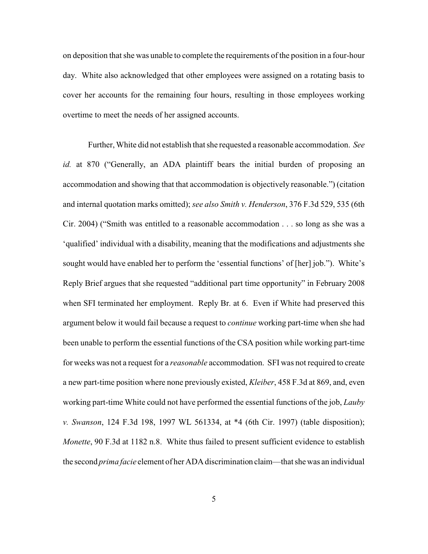on deposition that she was unable to complete the requirements of the position in a four-hour day. White also acknowledged that other employees were assigned on a rotating basis to cover her accounts for the remaining four hours, resulting in those employees working overtime to meet the needs of her assigned accounts.

Further, White did not establish that she requested a reasonable accommodation. *See id.* at 870 ("Generally, an ADA plaintiff bears the initial burden of proposing an accommodation and showing that that accommodation is objectively reasonable.") (citation and internal quotation marks omitted); *see also Smith v. Henderson*, 376 F.3d 529, 535 (6th Cir. 2004) ("Smith was entitled to a reasonable accommodation . . . so long as she was a 'qualified' individual with a disability, meaning that the modifications and adjustments she sought would have enabled her to perform the 'essential functions' of [her] job."). White's Reply Brief argues that she requested "additional part time opportunity" in February 2008 when SFI terminated her employment. Reply Br. at 6. Even if White had preserved this argument below it would fail because a request to *continue* working part-time when she had been unable to perform the essential functions of the CSA position while working part-time for weeks was not a request for a *reasonable* accommodation. SFI was not required to create a new part-time position where none previously existed, *Kleiber*, 458 F.3d at 869, and, even working part-time White could not have performed the essential functions of the job, *Lauby v. Swanson*, 124 F.3d 198, 1997 WL 561334, at \*4 (6th Cir. 1997) (table disposition); *Monette*, 90 F.3d at 1182 n.8. White thus failed to present sufficient evidence to establish the second *prima facie* element of her ADA discrimination claim—that she was an individual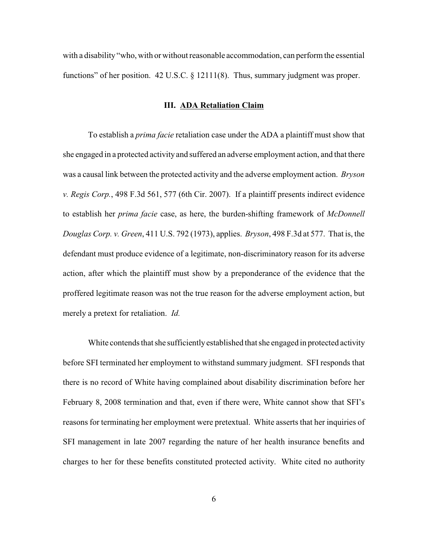with a disability "who, with or without reasonable accommodation, can perform the essential functions" of her position. 42 U.S.C. § 12111(8). Thus, summary judgment was proper.

#### **III. ADA Retaliation Claim**

To establish a *prima facie* retaliation case under the ADA a plaintiff must show that she engaged in a protected activity and suffered an adverse employment action, and that there was a causal link between the protected activity and the adverse employment action. *Bryson v. Regis Corp.*, 498 F.3d 561, 577 (6th Cir. 2007). If a plaintiff presents indirect evidence to establish her *prima facie* case, as here, the burden-shifting framework of *McDonnell Douglas Corp. v. Green*, 411 U.S. 792 (1973), applies. *Bryson*, 498 F.3d at 577. That is, the defendant must produce evidence of a legitimate, non-discriminatory reason for its adverse action, after which the plaintiff must show by a preponderance of the evidence that the proffered legitimate reason was not the true reason for the adverse employment action, but merely a pretext for retaliation. *Id.*

White contends that she sufficiently established that she engaged in protected activity before SFI terminated her employment to withstand summary judgment. SFI responds that there is no record of White having complained about disability discrimination before her February 8, 2008 termination and that, even if there were, White cannot show that SFI's reasons for terminating her employment were pretextual. White asserts that her inquiries of SFI management in late 2007 regarding the nature of her health insurance benefits and charges to her for these benefits constituted protected activity. White cited no authority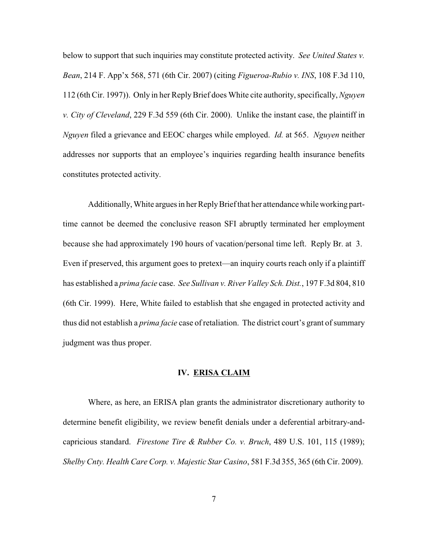below to support that such inquiries may constitute protected activity. *See United States v. Bean*, 214 F. App'x 568, 571 (6th Cir. 2007) (citing *Figueroa-Rubio v. INS*, 108 F.3d 110, 112 (6th Cir. 1997)). Only in her ReplyBrief does White cite authority, specifically, *Nguyen v. City of Cleveland*, 229 F.3d 559 (6th Cir. 2000). Unlike the instant case, the plaintiff in *Nguyen* filed a grievance and EEOC charges while employed. *Id.* at 565. *Nguyen* neither addresses nor supports that an employee's inquiries regarding health insurance benefits constitutes protected activity.

Additionally, White argues in her Reply Brief that her attendance while working parttime cannot be deemed the conclusive reason SFI abruptly terminated her employment because she had approximately 190 hours of vacation/personal time left. Reply Br. at 3. Even if preserved, this argument goes to pretext—an inquiry courts reach only if a plaintiff has established a *prima facie* case. *See Sullivan v. River Valley Sch. Dist.*, 197 F.3d 804, 810 (6th Cir. 1999). Here, White failed to establish that she engaged in protected activity and thus did not establish a *prima facie* case of retaliation. The district court's grant of summary judgment was thus proper.

## **IV. ERISA CLAIM**

Where, as here, an ERISA plan grants the administrator discretionary authority to determine benefit eligibility, we review benefit denials under a deferential arbitrary-andcapricious standard. *Firestone Tire & Rubber Co. v. Bruch*, 489 U.S. 101, 115 (1989); *Shelby Cnty. Health Care Corp. v. Majestic Star Casino*, 581 F.3d 355, 365 (6th Cir. 2009).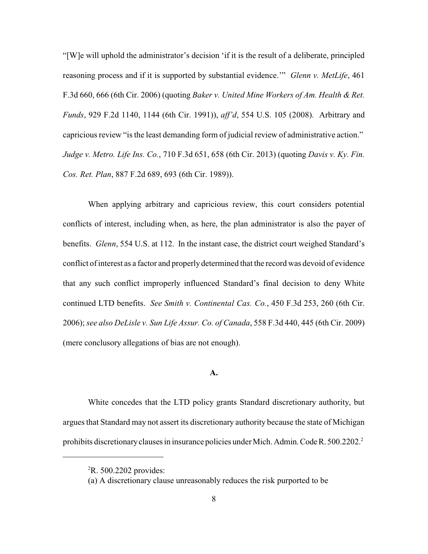"[W]e will uphold the administrator's decision 'if it is the result of a deliberate, principled reasoning process and if it is supported by substantial evidence.'" *Glenn v. MetLife*, 461 F.3d 660, 666 (6th Cir. 2006) (quoting *Baker v. United Mine Workers of Am. Health & Ret. Funds*, 929 F.2d 1140, 1144 (6th Cir. 1991)), *aff'd*, 554 U.S. 105 (2008). Arbitrary and capricious review "is the least demanding form of judicial review of administrative action." *Judge v. Metro. Life Ins. Co.*, 710 F.3d 651, 658 (6th Cir. 2013) (quoting *Davis v. Ky. Fin. Cos. Ret. Plan*, 887 F.2d 689, 693 (6th Cir. 1989)).

When applying arbitrary and capricious review, this court considers potential conflicts of interest, including when, as here, the plan administrator is also the payer of benefits. *Glenn*, 554 U.S. at 112. In the instant case, the district court weighed Standard's conflict of interest as a factor and properly determined that the record was devoid of evidence that any such conflict improperly influenced Standard's final decision to deny White continued LTD benefits. *See Smith v. Continental Cas. Co.*, 450 F.3d 253, 260 (6th Cir. 2006); *see also DeLisle v. Sun Life Assur. Co. of Canada*, 558 F.3d 440, 445 (6th Cir. 2009) (mere conclusory allegations of bias are not enough).

## **A.**

White concedes that the LTD policy grants Standard discretionary authority, but argues that Standard may not assert its discretionary authority because the state of Michigan prohibits discretionary clauses in insurance policies under Mich. Admin. Code R. 500.2202.<sup>2</sup>

 ${}^{2}R.500.2202$  provides:

<sup>(</sup>a) A discretionary clause unreasonably reduces the risk purported to be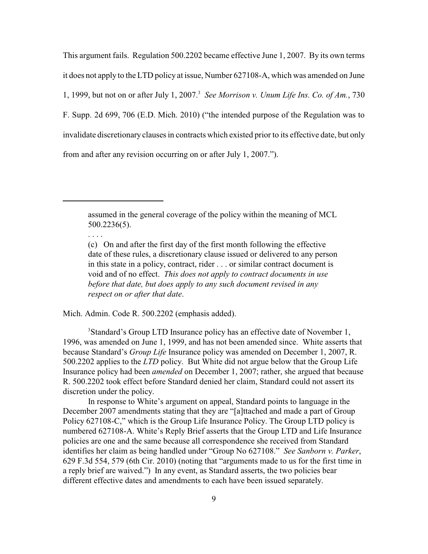This argument fails. Regulation 500.2202 became effective June 1, 2007. By its own terms it does not apply to the LTD policy at issue, Number 627108-A, which was amended on June 1, 1999, but not on or after July 1, 2007. *See Morrison v. Unum Life Ins. Co. of Am.*, 730 <sup>3</sup> F. Supp. 2d 699, 706 (E.D. Mich. 2010) ("the intended purpose of the Regulation was to invalidate discretionary clauses in contracts which existed prior to its effective date, but only from and after any revision occurring on or after July 1, 2007.").

assumed in the general coverage of the policy within the meaning of MCL 500.2236(5).

. . . .

Mich. Admin. Code R. 500.2202 (emphasis added).

<sup>3</sup>Standard's Group LTD Insurance policy has an effective date of November 1, 1996, was amended on June 1, 1999, and has not been amended since. White asserts that because Standard's *Group Life* Insurance policy was amended on December 1, 2007, R. 500.2202 applies to the *LTD* policy. But White did not argue below that the Group Life Insurance policy had been *amended* on December 1, 2007; rather, she argued that because R. 500.2202 took effect before Standard denied her claim, Standard could not assert its discretion under the policy.

In response to White's argument on appeal, Standard points to language in the December 2007 amendments stating that they are "[a]ttached and made a part of Group Policy 627108-C," which is the Group Life Insurance Policy. The Group LTD policy is numbered 627108-A. White's Reply Brief asserts that the Group LTD and Life Insurance policies are one and the same because all correspondence she received from Standard identifies her claim as being handled under "Group No 627108." *See Sanborn v. Parker*, 629 F.3d 554, 579 (6th Cir. 2010) (noting that "arguments made to us for the first time in a reply brief are waived.") In any event, as Standard asserts, the two policies bear different effective dates and amendments to each have been issued separately.

<sup>(</sup>c) On and after the first day of the first month following the effective date of these rules, a discretionary clause issued or delivered to any person in this state in a policy, contract, rider . . . or similar contract document is void and of no effect. *This does not apply to contract documents in use before that date, but does apply to any such document revised in any respect on or after that date*.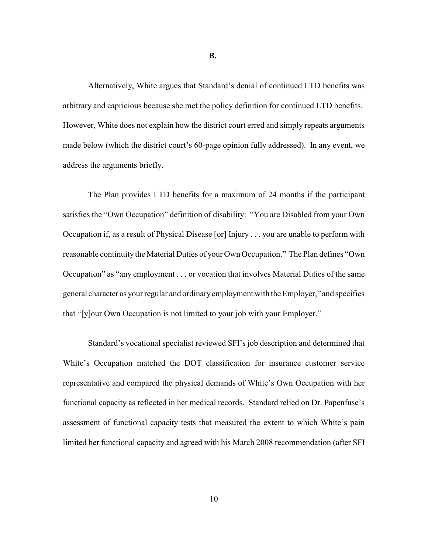**B.**

Alternatively, White argues that Standard's denial of continued LTD benefits was arbitrary and capricious because she met the policy definition for continued LTD benefits. However, White does not explain how the district court erred and simply repeats arguments made below (which the district court's 60-page opinion fully addressed). In any event, we address the arguments briefly.

The Plan provides LTD benefits for a maximum of 24 months if the participant satisfies the "Own Occupation" definition of disability: "You are Disabled from your Own Occupation if, as a result of Physical Disease [or] Injury . . . you are unable to perform with reasonable continuity the Material Duties of your Own Occupation." The Plan defines "Own Occupation" as "any employment . . . or vocation that involves Material Duties of the same general character as your regular and ordinaryemployment with the Employer," and specifies that "[y]our Own Occupation is not limited to your job with your Employer."

Standard's vocational specialist reviewed SFI's job description and determined that White's Occupation matched the DOT classification for insurance customer service representative and compared the physical demands of White's Own Occupation with her functional capacity as reflected in her medical records. Standard relied on Dr. Papenfuse's assessment of functional capacity tests that measured the extent to which White's pain limited her functional capacity and agreed with his March 2008 recommendation (after SFI